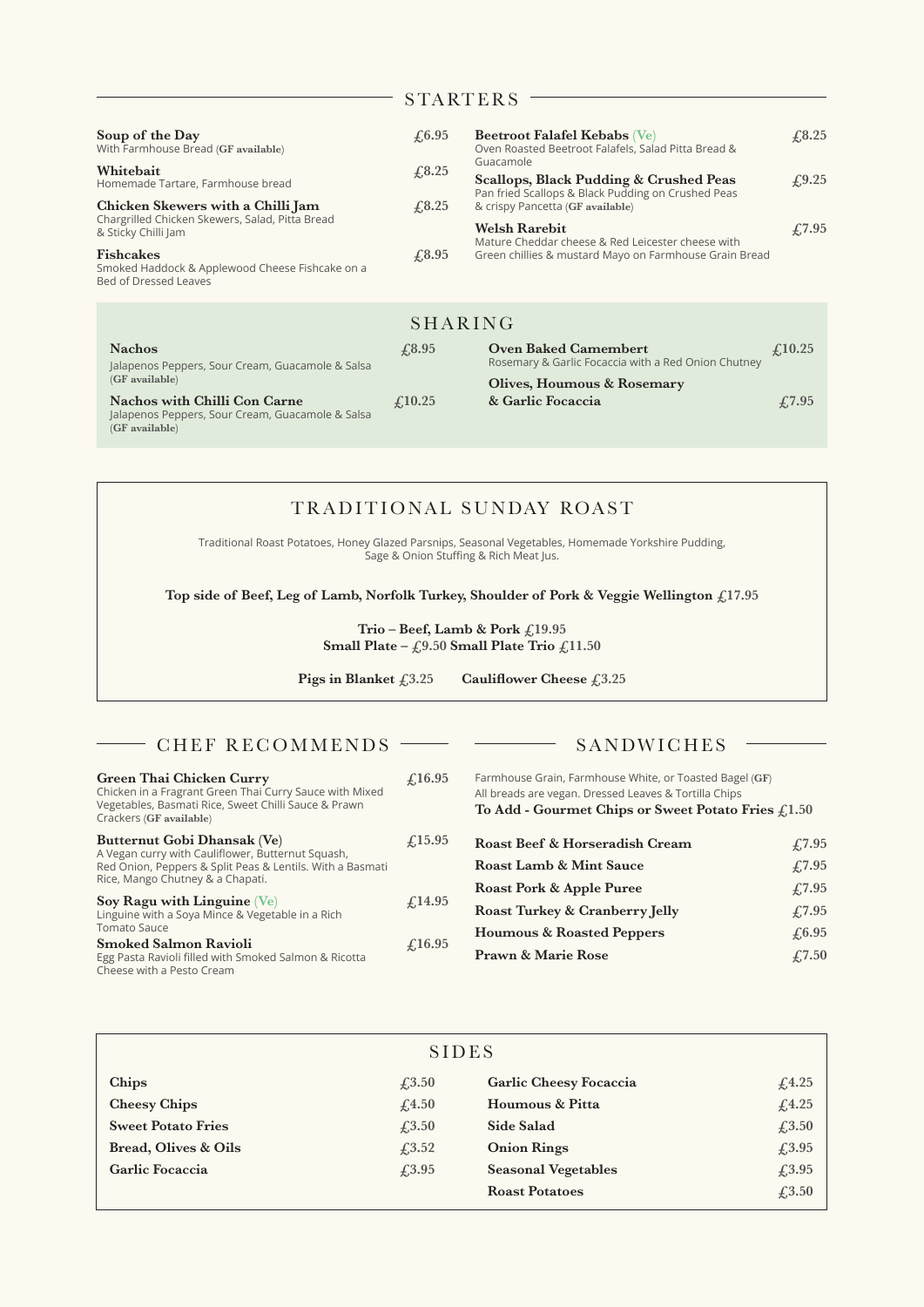## STARTERS -

| Soup of the Day<br>With Farmhouse Bread (GF available)<br>Whitebait<br>Homemade Tartare, Farmhouse bread<br>Chicken Skewers with a Chilli Jam<br>Chargrilled Chicken Skewers, Salad, Pitta Bread<br>& Sticky Chilli Jam<br><b>Fishcakes</b><br>Smoked Haddock & Applewood Cheese Fishcake on a<br>Bed of Dressed Leaves | $\sqrt{6.95}$<br>£3.25<br>$\textcolor{blue}{\pounds}8.25$<br>$\textcolor{blue}{\pounds}8.95$ | <b>Beetroot Falafel Kebabs</b> (Ve)<br>Oven Roasted Beetroot Falafels, Salad Pitta Bread &<br>Guacamole<br>Scallops, Black Pudding & Crushed Peas<br>Pan fried Scallops & Black Pudding on Crushed Peas<br>& crispy Pancetta (GF available)<br><b>Welsh Rarebit</b><br>Mature Cheddar cheese & Red Leicester cheese with<br>Green chillies & mustard Mayo on Farmhouse Grain Bread | $\sqrt{6.25}$<br>£9.25<br>£7.95 |
|-------------------------------------------------------------------------------------------------------------------------------------------------------------------------------------------------------------------------------------------------------------------------------------------------------------------------|----------------------------------------------------------------------------------------------|------------------------------------------------------------------------------------------------------------------------------------------------------------------------------------------------------------------------------------------------------------------------------------------------------------------------------------------------------------------------------------|---------------------------------|
|                                                                                                                                                                                                                                                                                                                         | <b>SHARING</b>                                                                               |                                                                                                                                                                                                                                                                                                                                                                                    |                                 |
| <b>Nachos</b><br>Jalapenos Peppers, Sour Cream, Guacamole & Salsa<br>(GF available)<br><b>Nachos with Chilli Con Carne</b><br>Jalapenos Peppers, Sour Cream, Guacamole & Salsa<br>(GF available)                                                                                                                        | $\sqrt{0.95}$                                                                                | <b>Oven Baked Camembert</b><br>Rosemary & Garlic Focaccia with a Red Onion Chutney                                                                                                                                                                                                                                                                                                 | $\mathcal{L}10.25$              |
|                                                                                                                                                                                                                                                                                                                         | f(10.25)                                                                                     | Olives, Houmous & Rosemary<br>& Garlic Focaccia                                                                                                                                                                                                                                                                                                                                    | $\sqrt{7.95}$                   |

| TRADITIONAL SUNDAY ROAST<br>Traditional Roast Potatoes, Honey Glazed Parsnips, Seasonal Vegetables, Homemade Yorkshire Pudding,<br>Sage & Onion Stuffing & Rich Meat Jus. |                                 |                                                         |  |  |  |  |
|---------------------------------------------------------------------------------------------------------------------------------------------------------------------------|---------------------------------|---------------------------------------------------------|--|--|--|--|
| Top side of Beef, Leg of Lamb, Norfolk Turkey, Shoulder of Pork & Veggie Wellington $f117.95$                                                                             |                                 |                                                         |  |  |  |  |
| Trio – Beef, Lamb & Pork $\text{\textsterling}19.95$                                                                                                                      |                                 |                                                         |  |  |  |  |
| Small Plate – $f9.50$ Small Plate Trio $f11.50$                                                                                                                           |                                 |                                                         |  |  |  |  |
| Pigs in Blanket $f3.25$<br>Cauliflower Cheese $\text{\textsterling}3.25$                                                                                                  |                                 |                                                         |  |  |  |  |
|                                                                                                                                                                           |                                 |                                                         |  |  |  |  |
| CHEF RECOMMENDS                                                                                                                                                           |                                 | SANDWICHES                                              |  |  |  |  |
| Green Thai Chicken Curry<br>Chicken in a Fragrant Croop Thai Curnic Suses with Mixed                                                                                      | $\textcolor{red}{\pounds}16.95$ | Farmhouse Grain, Farmhouse White, or Toasted Bagel (GF) |  |  |  |  |

| Green Thai Chicken Curry<br>Chicken in a Fragrant Green Thai Curry Sauce with Mixed<br>Vegetables, Basmati Rice, Sweet Chilli Sauce & Prawn<br>Crackers (GF available)                                                                                                 | $\angle 16.95$     | Farmhouse Grain, Farmhouse White, or Toasted Bagel (GF)<br>All breads are vegan. Dressed Leaves & Tortilla Chips<br>To Add - Gourmet Chips or Sweet Potato Fries $f1.50$ |                                 |  |
|------------------------------------------------------------------------------------------------------------------------------------------------------------------------------------------------------------------------------------------------------------------------|--------------------|--------------------------------------------------------------------------------------------------------------------------------------------------------------------------|---------------------------------|--|
| Butternut Gobi Dhansak (Ve)<br>A Vegan curry with Cauliflower, Butternut Squash,<br>Red Onion, Peppers & Split Peas & Lentils. With a Basmati<br>Rice, Mango Chutney & a Chapati.<br>Soy Ragu with Linguine $(Ve)$<br>Linguine with a Soya Mince & Vegetable in a Rich | $\mathcal{L}15.95$ | Roast Beef & Horseradish Cream                                                                                                                                           | £7.95                           |  |
|                                                                                                                                                                                                                                                                        | $f_{.}14.95$       | <b>Roast Lamb &amp; Mint Sauce</b>                                                                                                                                       | £7.95                           |  |
|                                                                                                                                                                                                                                                                        |                    | Roast Pork & Apple Puree                                                                                                                                                 | £7.95                           |  |
|                                                                                                                                                                                                                                                                        |                    | Roast Turkey & Cranberry Jelly                                                                                                                                           | £7.95                           |  |
| <b>Tomato Sauce</b>                                                                                                                                                                                                                                                    |                    | <b>Houmous &amp; Roasted Peppers</b>                                                                                                                                     | £6.95                           |  |
| <b>Smoked Salmon Ravioli</b><br>Egg Pasta Ravioli filled with Smoked Salmon & Ricotta<br>Cheese with a Pesto Cream                                                                                                                                                     | £16.95             | <b>Prawn &amp; Marie Rose</b>                                                                                                                                            | $\textcolor{blue}{\pounds}7.50$ |  |

| <b>SIDES</b>              |                                 |                            |                                 |  |  |
|---------------------------|---------------------------------|----------------------------|---------------------------------|--|--|
| Chips                     | $\textcolor{blue}{\pounds}3.50$ | Garlic Cheesy Focaccia     | f(4.25)                         |  |  |
| <b>Cheesy Chips</b>       | f <sub>4.50</sub>               | Houmous & Pitta            | f.4.25                          |  |  |
| <b>Sweet Potato Fries</b> | $\textcolor{blue}{\pounds}3.50$ | Side Salad                 | £3.50                           |  |  |
| Bread, Olives & Oils      | $\textcolor{blue}{f3.52}$       | <b>Onion Rings</b>         | $\textcolor{blue}{\pounds}3.95$ |  |  |
| Garlic Focaccia           | $\textcolor{blue}{f3.95}$       | <b>Seasonal Vegetables</b> | $\textcolor{blue}{f3.95}$       |  |  |
|                           |                                 | <b>Roast Potatoes</b>      | f3.50                           |  |  |

ł.